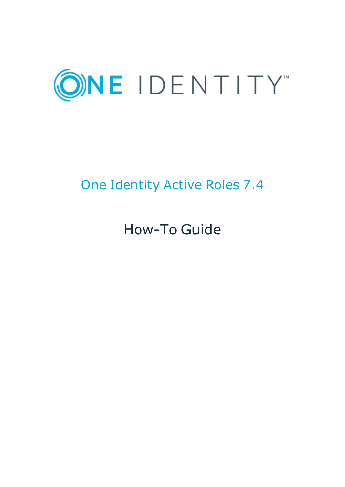

# One Identity Active Roles 7.4

# How-To Guide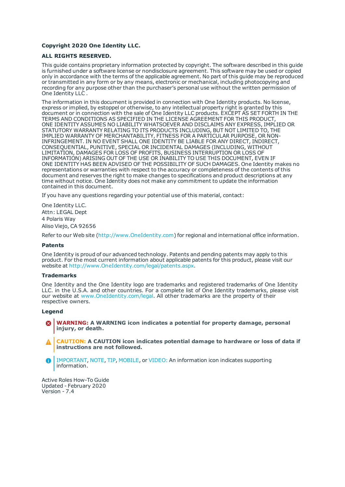#### **Copyright 2020 One Identity LLC.**

#### **ALL RIGHTS RESERVED.**

This guide contains proprietary information protected by copyright. The software described in this guide is furnished under a software license or nondisclosure agreement. This software may be used or copied only in accordance with the terms of the applicable agreement. No part of this guide may be reproduced or transmitted in any form or by any means, electronic or mechanical, including photocopying and recording for any purpose other than the purchaser's personal use without the written permission of One Identity LLC .

The information in this document is provided in connection with One Identity products. No license, express or implied, by estoppel or otherwise, to any intellectual property right is granted by this document or in connection with the sale of One Identity LLC products. EXCEPT AS SET FORTH IN THE TERMS AND CONDITIONS AS SPECIFIED IN THE LICENSE AGREEMENT FOR THIS PRODUCT, ONE IDENTITY ASSUMES NO LIABILITY WHATSOEVER AND DISCLAIMS ANY EXPRESS, IMPLIED OR STATUTORY WARRANTY RELATING TO ITS PRODUCTS INCLUDING, BUT NOT LIMITED TO, THE IMPLIED WARRANTY OF MERCHANTABILITY, FITNESS FOR A PARTICULAR PURPOSE, OR NON-INFRINGEMENT. IN NO EVENT SHALL ONE IDENTITY BE LIABLE FOR ANY DIRECT, INDIRECT, CONSEQUENTIAL, PUNITIVE, SPECIAL OR INCIDENTAL DAMAGES (INCLUDING, WITHOUT LIMITATION, DAMAGES FOR LOSS OF PROFITS, BUSINESS INTERRUPTION OR LOSS OF INFORMATION) ARISING OUT OF THE USE OR INABILITY TO USE THIS DOCUMENT, EVEN IF ONE IDENTITY HAS BEEN ADVISED OF THE POSSIBILITY OF SUCH DAMAGES. One Identity makes no representations or warranties with respect to the accuracy or completeness of the contents of this document and reserves the right to make changes to specifications and product descriptions at any time without notice. One Identity does not make any commitment to update the information contained in this document.

If you have any questions regarding your potential use of this material, contact:

One Identity LLC. Attn: LEGAL Dept 4 Polaris Way Aliso Viejo, CA 92656

Refer to our Web site ([http://www.OneIdentity.com](http://www.oneidentity.com/)) for regional and international office information.

#### **Patents**

One Identity is proud of our advanced technology. Patents and pending patents may apply to this product. For the most current information about applicable patents for this product, please visit our website at [http://www.OneIdentity.com/legal/patents.aspx](http://www.oneidentity.com/legal/patents.aspx).

#### **Trademarks**

One Identity and the One Identity logo are trademarks and registered trademarks of One Identity LLC. in the U.S.A. and other countries. For a complete list of One Identity trademarks, please visit our website at [www.OneIdentity.com/legal](http://www.oneidentity.com/legal). All other trademarks are the property of their respective owners.

#### **Legend**

- **WARNING: A WARNING icon indicates a potential for property damage, personal injury, or death.**
- **CAUTION: A CAUTION icon indicates potential damage to hardware or loss of data if instructions are not followed.**
- IMPORTANT, NOTE, TIP, MOBILE, or VIDEO: An information icon indicates supporting Œ information.

Active Roles How-To Guide Updated - February 2020 Version - 7.4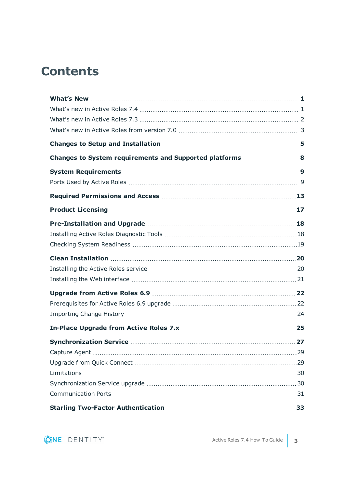## **Contents**

| Changes to System requirements and Supported platforms  8 |    |
|-----------------------------------------------------------|----|
|                                                           |    |
|                                                           |    |
|                                                           |    |
|                                                           |    |
|                                                           |    |
|                                                           |    |
|                                                           |    |
|                                                           |    |
|                                                           |    |
|                                                           |    |
|                                                           |    |
|                                                           |    |
|                                                           |    |
|                                                           |    |
|                                                           |    |
|                                                           | 29 |
|                                                           |    |
|                                                           |    |
|                                                           |    |
|                                                           |    |
|                                                           |    |

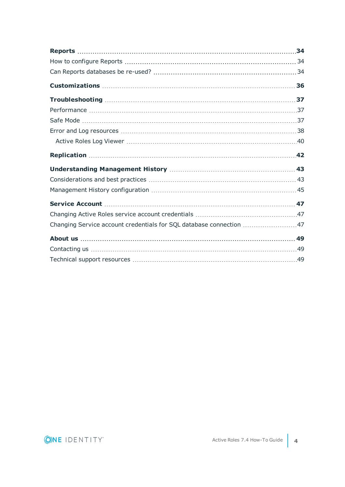| Changing Service account credentials for SQL database connection 47 |  |
|---------------------------------------------------------------------|--|
|                                                                     |  |
|                                                                     |  |
|                                                                     |  |

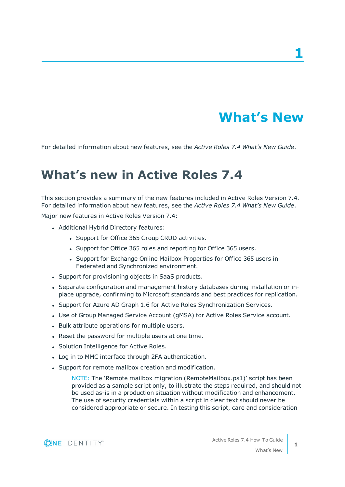# **What's New**

**1**

<span id="page-4-1"></span><span id="page-4-0"></span>For detailed information about new features, see the *Active Roles 7.4 What's New Guide*.

## **What's new in Active Roles 7.4**

This section provides a summary of the new features included in Active Roles Version 7.4. For detailed information about new features, see the *Active Roles 7.4 What's New Guide*.

Major new features in Active Roles Version 7.4:

- Additional Hybrid Directory features:
	- Support for Office 365 Group CRUD activities.
	- Support for Office 365 roles and reporting for Office 365 users.
	- Support for Exchange Online Mailbox Properties for Office 365 users in Federated and Synchronized environment.
- Support for provisioning objects in SaaS products.
- Separate configuration and management history databases during installation or inplace upgrade, confirming to Microsoft standards and best practices for replication.
- Support for Azure AD Graph 1.6 for Active Roles Synchronization Services.
- Use of Group Managed Service Account (gMSA) for Active Roles Service account.
- Bulk attribute operations for multiple users.
- Reset the password for multiple users at one time.
- Solution Intelligence for Active Roles.
- Log in to MMC interface through 2FA authentication.
- Support for remote mailbox creation and modification.

NOTE: The 'Remote mailbox migration (RemoteMailbox.ps1)' script has been provided as a sample script only, to illustrate the steps required, and should not be used as-is in a production situation without modification and enhancement. The use of security credentials within a script in clear text should never be considered appropriate or secure. In testing this script, care and consideration

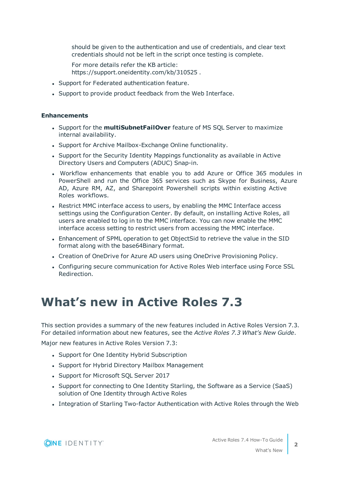should be given to the authentication and use of credentials, and clear text credentials should not be left in the script once testing is complete.

For more details refer the KB article: https://support.oneidentity.com/kb/310525 .

- Support for Federated authentication feature.
- Support to provide product feedback from the Web Interface.

### **Enhancements**

- **.** Support for the **multiSubnetFailOver** feature of MS SQL Server to maximize internal availability.
- Support for Archive Mailbox-Exchange Online functionality.
- Support for the Security Identity Mappings functionality as available in Active Directory Users and Computers (ADUC) Snap-in.
- Workflow enhancements that enable you to add Azure or Office 365 modules in PowerShell and run the Office 365 services such as Skype for Business, Azure AD, Azure RM, AZ, and Sharepoint Powershell scripts within existing Active Roles workflows.
- Restrict MMC interface access to users, by enabling the MMC Interface access settings using the Configuration Center. By default, on installing Active Roles, all users are enabled to log in to the MMC interface. You can now enable the MMC interface access setting to restrict users from accessing the MMC interface.
- <sup>l</sup> Enhancement of SPML operation to get ObjectSid to retrieve the value in the SID format along with the base64Binary format.
- Creation of OneDrive for Azure AD users using OneDrive Provisioning Policy.
- Configuring secure communication for Active Roles Web interface using Force SSL Redirection.

## <span id="page-5-0"></span>**What's new in Active Roles 7.3**

This section provides a summary of the new features included in Active Roles Version 7.3. For detailed information about new features, see the *Active Roles 7.3 What's New Guide*.

Major new features in Active Roles Version 7.3:

- Support for One Identity Hybrid Subscription
- Support for Hybrid Directory Mailbox Management
- Support for Microsoft SQL Server 2017
- Support for connecting to One Identity Starling, the Software as a Service (SaaS) solution of One Identity through Active Roles
- Integration of Starling Two-factor Authentication with Active Roles through the Web



What's New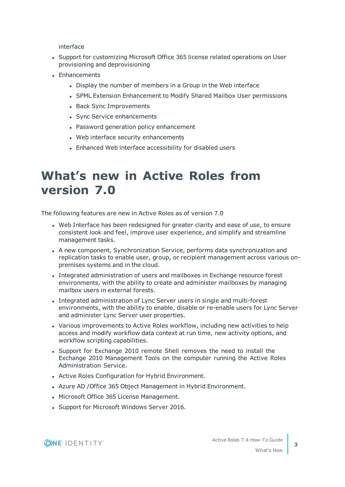interface

- Support for customizing Microsoft Office 365 license related operations on User provisioning and deprovisioning
- Enhancements
	- Display the number of members in a Group in the Web interface
	- SPML Extension Enhancement to Modify Shared Mailbox User permissions
	- Back Sync Improvements
	- Sync Service enhancements
	- Password generation policy enhancement
	- Web interface security enhancements
	- Enhanced Web interface accessibility for disabled users

## <span id="page-6-0"></span>**What's new in Active Roles from version 7.0**

The following features are new in Active Roles as of version 7.0

- Web Interface has been redesigned for greater clarity and ease of use, to ensure consistent look and feel, improve user experience, and simplify and streamline management tasks.
- A new component, Synchronization Service, performs data synchronization and replication tasks to enable user, group, or recipient management across various onpremises systems and in the cloud.
- Integrated administration of users and mailboxes in Exchange resource forest environments, with the ability to create and administer mailboxes by managing mailbox users in external forests.
- Integrated administration of Lync Server users in single and multi-forest environments, with the ability to enable, disable or re-enable users for Lync Server and administer Lync Server user properties.
- Various improvements to Active Roles workflow, including new activities to help access and modify workflow data context at run time, new activity options, and workflow scripting capabilities.
- Support for Exchange 2010 remote Shell removes the need to install the Exchange 2010 Management Tools on the computer running the Active Roles Administration Service.
- Active Roles Configuration for Hybrid Environment.
- Azure AD / Office 365 Object Management in Hybrid Environment.
- Microsoft Office 365 License Management.
- Support for Microsoft Windows Server 2016.

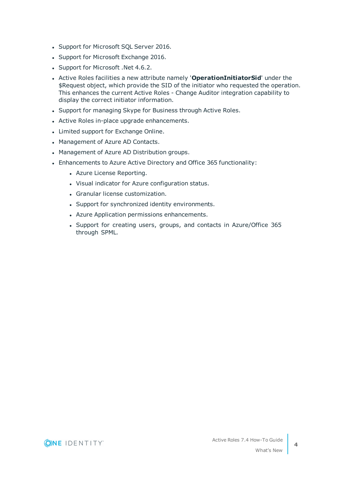- Support for Microsoft SQL Server 2016.
- Support for Microsoft Exchange 2016.
- Support for Microsoft .Net 4.6.2.
- <sup>l</sup> Active Roles facilities a new attribute namely '**OperationInitiatorSid**' under the \$Request object, which provide the SID of the initiator who requested the operation. This enhances the current Active Roles - Change Auditor integration capability to display the correct initiator information.
- Support for managing Skype for Business through Active Roles.
- Active Roles in-place upgrade enhancements.
- Limited support for Exchange Online.
- Management of Azure AD Contacts.
- Management of Azure AD Distribution groups.
- Enhancements to Azure Active Directory and Office 365 functionality:
	- Azure License Reporting.
	- Visual indicator for Azure configuration status.
	- Granular license customization.
	- Support for synchronized identity environments.
	- Azure Application permissions enhancements.
	- Support for creating users, groups, and contacts in Azure/Office 365 through SPML.

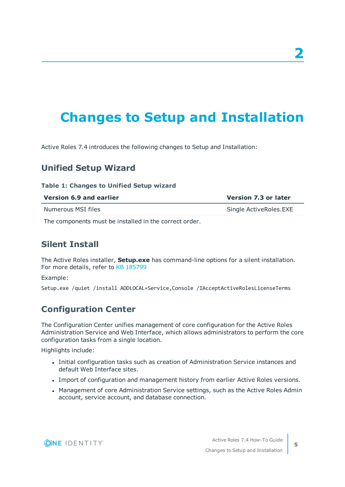# <span id="page-8-0"></span>**Changes to Setup and Installation**

Active Roles 7.4 introduces the following changes to Setup and Installation:

## **Unified Setup Wizard**

### **Table 1: Changes to Unified Setup wizard**

| Version 6.9 and earlier | <b>Version 7.3 or later</b> |
|-------------------------|-----------------------------|
| Numerous MSI files      | Single ActiveRoles.EXE      |
| .                       |                             |

The components must be installed in the correct order.

## **Silent Install**

The Active Roles installer, **Setup.exe** has command-line options for a silent installation. For more details, refer to KB 185799

Example:

Setup.exe /quiet /install ADDLOCAL=Service,Console /IAcceptActiveRolesLicenseTerms

## **Configuration Center**

The Configuration Center unifies management of core configuration for the Active Roles Administration Service and Web Interface, which allows administrators to perform the core configuration tasks from a single location.

Highlights include:

- Initial configuration tasks such as creation of Administration Service instances and default Web Interface sites.
- <sup>l</sup> Import of configuration and management history from earlier Active Roles versions.
- Management of core Administration Service settings, such as the Active Roles Admin account, service account, and database connection.

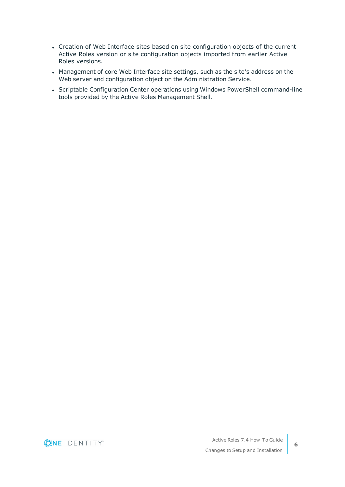- Creation of Web Interface sites based on site configuration objects of the current Active Roles version or site configuration objects imported from earlier Active Roles versions.
- Management of core Web Interface site settings, such as the site's address on the Web server and configuration object on the Administration Service.
- Scriptable Configuration Center operations using Windows PowerShell command-line tools provided by the Active Roles Management Shell.

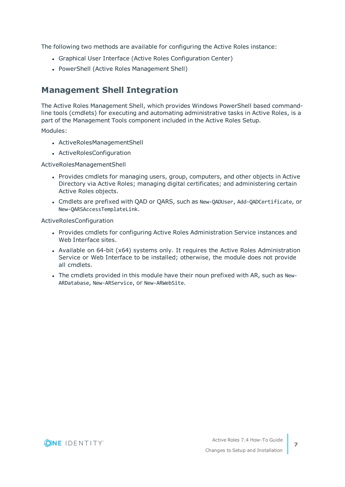The following two methods are available for configuring the Active Roles instance:

- Graphical User Interface (Active Roles Configuration Center)
- PowerShell (Active Roles Management Shell)

## **Management Shell Integration**

The Active Roles Management Shell, which provides Windows PowerShell based commandline tools (cmdlets) for executing and automating administrative tasks in Active Roles, is a part of the Management Tools component included in the Active Roles Setup.

Modules:

- ActiveRolesManagementShell
- ActiveRolesConfiguration

ActiveRolesManagementShell

- Provides cmdlets for managing users, group, computers, and other objects in Active Directory via Active Roles; managing digital certificates; and administering certain Active Roles objects.
- <sup>l</sup> Cmdlets are prefixed with QAD or QARS, such as New-QADUser, Add-QADCertificate, or New-QARSAccessTemplateLink.

ActiveRolesConfiguration

- Provides cmdlets for configuring Active Roles Administration Service instances and Web Interface sites.
- Available on  $64$ -bit ( $x64$ ) systems only. It requires the Active Roles Administration Service or Web Interface to be installed; otherwise, the module does not provide all cmdlets.
- The cmdlets provided in this module have their noun prefixed with AR, such as New-ARDatabase, New-ARService, or New-ARWebSite.



**7**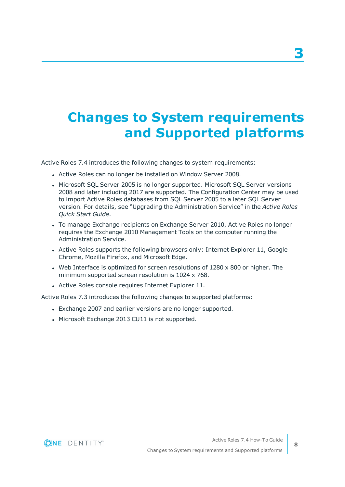# <span id="page-11-0"></span>**Changes to System requirements and Supported platforms**

Active Roles 7.4 introduces the following changes to system requirements:

- Active Roles can no longer be installed on Window Server 2008.
- Microsoft SQL Server 2005 is no longer supported. Microsoft SQL Server versions 2008 and later including 2017 are supported. The Configuration Center may be used to import Active Roles databases from SQL Server 2005 to a later SQL Server version. For details, see "Upgrading the Administration Service" in the *Active Roles Quick Start Guide*.
- To manage Exchange recipients on Exchange Server 2010, Active Roles no longer requires the Exchange 2010 Management Tools on the computer running the Administration Service.
- Active Roles supports the following browsers only: Internet Explorer 11, Google Chrome, Mozilla Firefox, and Microsoft Edge.
- Web Interface is optimized for screen resolutions of  $1280 \times 800$  or higher. The minimum supported screen resolution is 1024 x 768.
- Active Roles console requires Internet Explorer 11.

Active Roles 7.3 introduces the following changes to supported platforms:

- Exchange 2007 and earlier versions are no longer supported.
- Microsoft Exchange 2013 CU11 is not supported.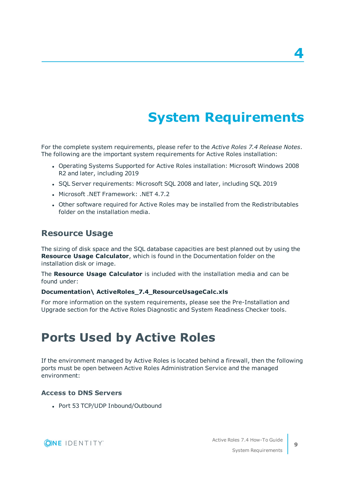# **System Requirements**

<span id="page-12-0"></span>For the complete system requirements, please refer to the *Active Roles 7.4 Release Notes*. The following are the important system requirements for Active Roles installation:

- Operating Systems Supported for Active Roles installation: Microsoft Windows 2008 R2 and later, including 2019
- SQL Server requirements: Microsoft SQL 2008 and later, including SQL 2019
- <sup>l</sup> Microsoft .NET Framework: .NET 4.7.2
- Other software required for Active Roles may be installed from the Redistributables folder on the installation media.

## **Resource Usage**

The sizing of disk space and the SQL database capacities are best planned out by using the **Resource Usage Calculator**, which is found in the Documentation folder on the installation disk or image.

The **Resource Usage Calculator** is included with the installation media and can be found under:

### **Documentation\ ActiveRoles\_7.4\_ResourceUsageCalc.xls**

For more information on the system requirements, please see the Pre-Installation and Upgrade section for the Active Roles Diagnostic and System Readiness Checker tools.

## <span id="page-12-1"></span>**Ports Used by Active Roles**

If the environment managed by Active Roles is located behind a firewall, then the following ports must be open between Active Roles Administration Service and the managed environment:

### **Access to DNS Servers**

• Port 53 TCP/UDP Inbound/Outbound



**4**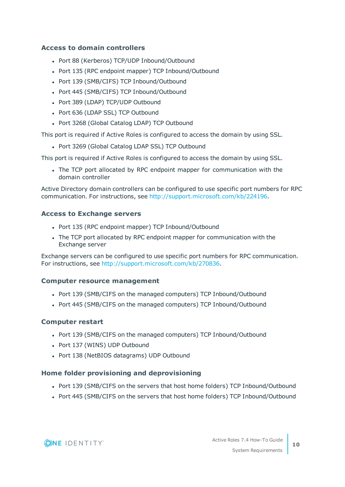## **Access to domain controllers**

- Port 88 (Kerberos) TCP/UDP Inbound/Outbound
- Port 135 (RPC endpoint mapper) TCP Inbound/Outbound
- Port 139 (SMB/CIFS) TCP Inbound/Outbound
- Port 445 (SMB/CIFS) TCP Inbound/Outbound
- Port 389 (LDAP) TCP/UDP Outbound
- Port 636 (LDAP SSL) TCP Outbound
- Port 3268 (Global Catalog LDAP) TCP Outbound

This port is required if Active Roles is configured to access the domain by using SSL.

• Port 3269 (Global Catalog LDAP SSL) TCP Outbound

This port is required if Active Roles is configured to access the domain by using SSL.

• The TCP port allocated by RPC endpoint mapper for communication with the domain controller

Active Directory domain controllers can be configured to use specific port numbers for RPC communication. For instructions, see <http://support.microsoft.com/kb/224196>.

### **Access to Exchange servers**

- Port 135 (RPC endpoint mapper) TCP Inbound/Outbound
- The TCP port allocated by RPC endpoint mapper for communication with the Exchange server

Exchange servers can be configured to use specific port numbers for RPC communication. For instructions, see [http://support.microsoft.com/kb/270836.](http://support.microsoft.com/kb/270836)

### **Computer resource management**

- Port 139 (SMB/CIFS on the managed computers) TCP Inbound/Outbound
- Port 445 (SMB/CIFS on the managed computers) TCP Inbound/Outbound

### **Computer restart**

- Port 139 (SMB/CIFS on the managed computers) TCP Inbound/Outbound
- Port 137 (WINS) UDP Outbound
- Port 138 (NetBIOS datagrams) UDP Outbound

### **Home folder provisioning and deprovisioning**

- Port 139 (SMB/CIFS on the servers that host home folders) TCP Inbound/Outbound
- Port 445 (SMB/CIFS on the servers that host home folders) TCP Inbound/Outbound

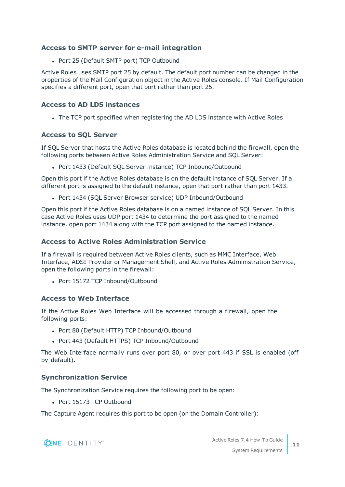## **Access to SMTP server for e-mail integration**

• Port 25 (Default SMTP port) TCP Outbound

Active Roles uses SMTP port 25 by default. The default port number can be changed in the properties of the Mail Configuration object in the Active Roles console. If Mail Configuration specifies a different port, open that port rather than port 25.

## **Access to AD LDS instances**

• The TCP port specified when registering the AD LDS instance with Active Roles

## **Access to SQL Server**

If SQL Server that hosts the Active Roles database is located behind the firewall, open the following ports between Active Roles Administration Service and SQL Server:

• Port 1433 (Default SQL Server instance) TCP Inbound/Outbound

Open this port if the Active Roles database is on the default instance of SQL Server. If a different port is assigned to the default instance, open that port rather than port 1433.

• Port 1434 (SQL Server Browser service) UDP Inbound/Outbound

Open this port if the Active Roles database is on a named instance of SQL Server. In this case Active Roles uses UDP port 1434 to determine the port assigned to the named instance, open port 1434 along with the TCP port assigned to the named instance.

### **Access to Active Roles Administration Service**

If a firewall is required between Active Roles clients, such as MMC Interface, Web Interface, ADSI Provider or Management Shell, and Active Roles Administration Service, open the following ports in the firewall:

• Port 15172 TCP Inbound/Outbound

## **Access to Web Interface**

If the Active Roles Web Interface will be accessed through a firewall, open the following ports:

- Port 80 (Default HTTP) TCP Inbound/Outbound
- Port 443 (Default HTTPS) TCP Inbound/Outbound

The Web Interface normally runs over port 80, or over port 443 if SSL is enabled (off by default).

## **Synchronization Service**

The Synchronization Service requires the following port to be open:

• Port 15173 TCP Outbound

The Capture Agent requires this port to be open (on the Domain Controller):

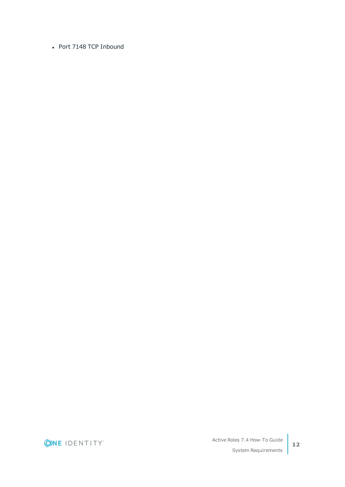• Port 7148 TCP Inbound

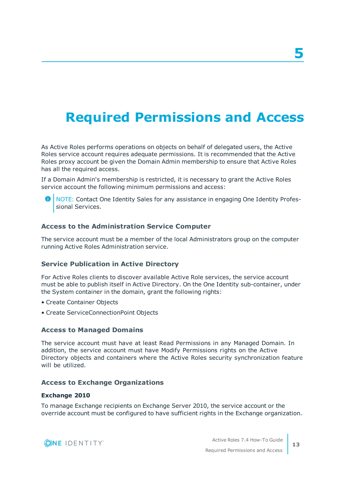# <span id="page-16-0"></span>**Required Permissions and Access**

As Active Roles performs operations on objects on behalf of delegated users, the Active Roles service account requires adequate permissions. It is recommended that the Active Roles proxy account be given the Domain Admin membership to ensure that Active Roles has all the required access.

If a Domain Admin's membership is restricted, it is necessary to grant the Active Roles service account the following minimum permissions and access:

6 NOTE: Contact One Identity Sales for any assistance in engaging One Identity Professional Services.

## **Access to the Administration Service Computer**

The service account must be a member of the local Administrators group on the computer running Active Roles Administration service.

## **Service Publication in Active Directory**

For Active Roles clients to discover available Active Role services, the service account must be able to publish itself in Active Directory. On the One Identity sub-container, under the System container in the domain, grant the following rights:

- Create Container Objects
- Create ServiceConnectionPoint Objects

### **Access to Managed Domains**

The service account must have at least Read Permissions in any Managed Domain. In addition, the service account must have Modify Permissions rights on the Active Directory objects and containers where the Active Roles security synchronization feature will be utilized.

### **Access to Exchange Organizations**

#### **Exchange 2010**

To manage Exchange recipients on Exchange Server 2010, the service account or the override account must be configured to have sufficient rights in the Exchange organization.



Active Roles 7.4 How-To Guide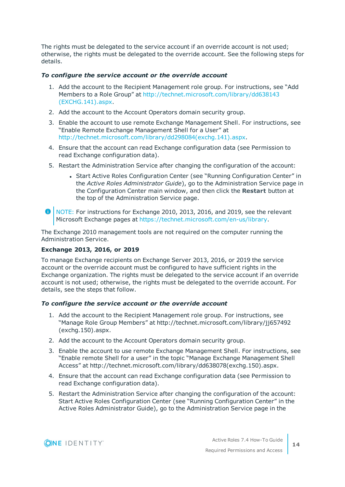The rights must be delegated to the service account if an override account is not used; otherwise, the rights must be delegated to the override account. See the following steps for details.

### *To configure the service account or the override account*

- 1. Add the account to the Recipient Management role group. For instructions, see "Add Members to a Role Group" at [http://technet.microsoft.com/library/dd638143](http://technet.microsoft.com/library/dd638143(EXCHG.141).aspx) [\(EXCHG.141\).aspx.](http://technet.microsoft.com/library/dd638143(EXCHG.141).aspx)
- 2. Add the account to the Account Operators domain security group.
- 3. Enable the account to use remote Exchange Management Shell. For instructions, see "Enable Remote Exchange Management Shell for a User" at [http://technet.microsoft.com/library/dd298084\(exchg.141\).aspx.](http://technet.microsoft.com/library/dd298084(exchg.141).aspx)
- 4. Ensure that the account can read Exchange configuration data (see Permission to read Exchange configuration data).
- 5. Restart the Administration Service after changing the configuration of the account:
	- Start Active Roles Configuration Center (see "Running Configuration Center" in the *Active Roles Administrator Guide*), go to the Administration Service page in the Configuration Center main window, and then click the **Restart** button at the top of the Administration Service page.
- O | NOTE: For instructions for Exchange 2010, 2013, 2016, and 2019, see the relevant Microsoft Exchange pages at <https://technet.microsoft.com/en-us/library>.

The Exchange 2010 management tools are not required on the computer running the Administration Service.

## **Exchange 2013, 2016, or 2019**

To manage Exchange recipients on Exchange Server 2013, 2016, or 2019 the service account or the override account must be configured to have sufficient rights in the Exchange organization. The rights must be delegated to the service account if an override account is not used; otherwise, the rights must be delegated to the override account. For details, see the steps that follow.

### *To configure the service account or the override account*

- 1. Add the account to the Recipient Management role group. For instructions, see "Manage Role Group Members" at http://technet.microsoft.com/library/jj657492 (exchg.150).aspx.
- 2. Add the account to the Account Operators domain security group.
- 3. Enable the account to use remote Exchange Management Shell. For instructions, see "Enable remote Shell for a user" in the topic "Manage Exchange Management Shell Access" at http://technet.microsoft.com/library/dd638078(exchg.150).aspx.
- 4. Ensure that the account can read Exchange configuration data (see Permission to read Exchange configuration data).
- 5. Restart the Administration Service after changing the configuration of the account: Start Active Roles Configuration Center (see "Running Configuration Center" in the Active Roles Administrator Guide), go to the Administration Service page in the

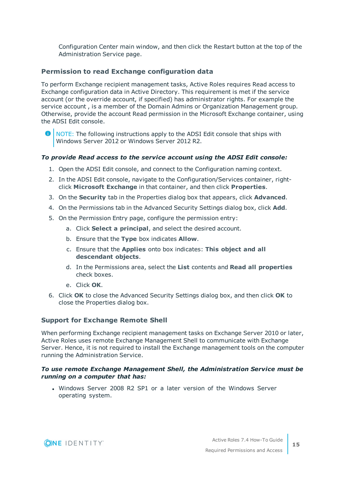Configuration Center main window, and then click the Restart button at the top of the Administration Service page.

## **Permission to read Exchange configuration data**

To perform Exchange recipient management tasks, Active Roles requires Read access to Exchange configuration data in Active Directory. This requirement is met if the service account (or the override account, if specified) has administrator rights. For example the service account , is a member of the Domain Admins or Organization Management group. Otherwise, provide the account Read permission in the Microsoft Exchange container, using the ADSI Edit console.

NOTE: The following instructions apply to the ADSI Edit console that ships with 6 Windows Server 2012 or Windows Server 2012 R2.

### *To provide Read access to the service account using the ADSI Edit console:*

- 1. Open the ADSI Edit console, and connect to the Configuration naming context.
- 2. In the ADSI Edit console, navigate to the Configuration/Services container, rightclick **Microsoft Exchange** in that container, and then click **Properties**.
- 3. On the **Security** tab in the Properties dialog box that appears, click **Advanced**.
- 4. On the Permissions tab in the Advanced Security Settings dialog box, click **Add**.
- 5. On the Permission Entry page, configure the permission entry:
	- a. Click **Select a principal**, and select the desired account.
	- b. Ensure that the **Type** box indicates **Allow**.
	- c. Ensure that the **Applies** onto box indicates: **This object and all descendant objects**.
	- d. In the Permissions area, select the **List** contents and **Read all properties** check boxes.
	- e. Click **OK**.
- 6. Click **OK** to close the Advanced Security Settings dialog box, and then click **OK** to close the Properties dialog box.

### **Support for Exchange Remote Shell**

When performing Exchange recipient management tasks on Exchange Server 2010 or later, Active Roles uses remote Exchange Management Shell to communicate with Exchange Server. Hence, it is not required to install the Exchange management tools on the computer running the Administration Service.

### *To use remote Exchange Management Shell, the Administration Service must be running on a computer that has:*

• Windows Server 2008 R2 SP1 or a later version of the Windows Server operating system.

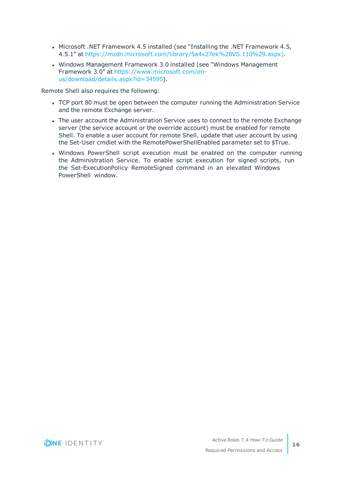- <sup>l</sup> Microsoft .NET Framework 4.5 installed (see "Installing the .NET Framework 4.5, 4.5.1" at [https://msdn.microsoft.com/library/5a4x27ek%28VS.110%29.aspx\).](https://msdn.microsoft.com/library/5a4x27ek(VS.110).aspx))
- Windows Management Framework 3.0 installed (see "Windows Management Framework 3.0" at [https://www.microsoft.com/en](https://www.microsoft.com/en-us/download/details.aspx?id=34595)[us/download/details.aspx?id=34595](https://www.microsoft.com/en-us/download/details.aspx?id=34595)).

Remote Shell also requires the following:

- TCP port 80 must be open between the computer running the Administration Service and the remote Exchange server.
- The user account the Administration Service uses to connect to the remote Exchange server (the service account or the override account) must be enabled for remote Shell. To enable a user account for remote Shell, update that user account by using the Set-User cmdlet with the RemotePowerShellEnabled parameter set to \$True.
- Windows PowerShell script execution must be enabled on the computer running the Administration Service. To enable script execution for signed scripts, run the Set-ExecutionPolicy RemoteSigned command in an elevated Windows PowerShell window.

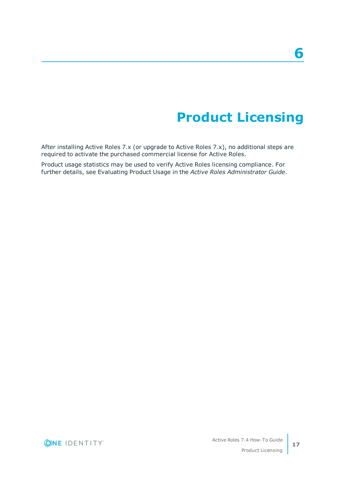# **Product Licensing**

<span id="page-20-0"></span>After installing Active Roles 7.x (or upgrade to Active Roles 7.x), no additional steps are required to activate the purchased commercial license for Active Roles.

Product usage statistics may be used to verify Active Roles licensing compliance. For further details, see Evaluating Product Usage in the *Active Roles Administrator Guide*.

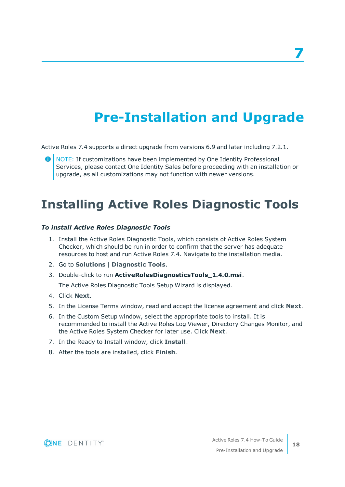# **Pre-Installation and Upgrade**

<span id="page-21-0"></span>Active Roles 7.4 supports a direct upgrade from versions 6.9 and later including 7.2.1.

NOTE: If customizations have been implemented by One Identity Professional Services, please contact One Identity Sales before proceeding with an installation or upgrade, as all customizations may not function with newer versions.

## <span id="page-21-1"></span>**Installing Active Roles Diagnostic Tools**

## *To install Active Roles Diagnostic Tools*

- 1. Install the Active Roles Diagnostic Tools, which consists of Active Roles System Checker, which should be run in order to confirm that the server has adequate resources to host and run Active Roles 7.4. Navigate to the installation media.
- 2. Go to **Solutions** | **Diagnostic Tools**.
- 3. Double-click to run **ActiveRolesDiagnosticsTools\_1.4.0.msi**.

The Active Roles Diagnostic Tools Setup Wizard is displayed.

- 4. Click **Next**.
- 5. In the License Terms window, read and accept the license agreement and click **Next**.
- 6. In the Custom Setup window, select the appropriate tools to install. It is recommended to install the Active Roles Log Viewer, Directory Changes Monitor, and the Active Roles System Checker for later use. Click **Next**.
- 7. In the Ready to Install window, click **Install**.
- 8. After the tools are installed, click **Finish**.

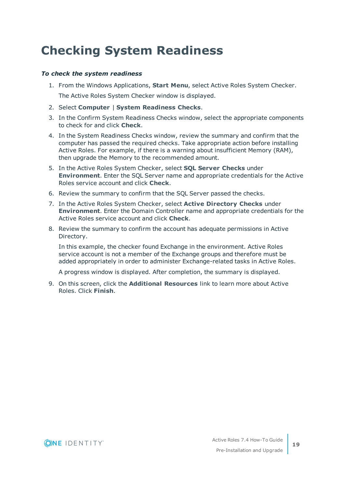## <span id="page-22-0"></span>**Checking System Readiness**

## *To check the system readiness*

- 1. From the Windows Applications, **Start Menu**, select Active Roles System Checker. The Active Roles System Checker window is displayed.
- 2. Select **Computer** | **System Readiness Checks**.
- 3. In the Confirm System Readiness Checks window, select the appropriate components to check for and click **Check**.
- 4. In the System Readiness Checks window, review the summary and confirm that the computer has passed the required checks. Take appropriate action before installing Active Roles. For example, if there is a warning about insufficient Memory (RAM), then upgrade the Memory to the recommended amount.
- 5. In the Active Roles System Checker, select **SQL Server Checks** under **Environment**. Enter the SQL Server name and appropriate credentials for the Active Roles service account and click **Check**.
- 6. Review the summary to confirm that the SQL Server passed the checks.
- 7. In the Active Roles System Checker, select **Active Directory Checks** under **Environment**. Enter the Domain Controller name and appropriate credentials for the Active Roles service account and click **Check**.
- 8. Review the summary to confirm the account has adequate permissions in Active Directory.

In this example, the checker found Exchange in the environment. Active Roles service account is not a member of the Exchange groups and therefore must be added appropriately in order to administer Exchange-related tasks in Active Roles.

A progress window is displayed. After completion, the summary is displayed.

9. On this screen, click the **Additional Resources** link to learn more about Active Roles. Click **Finish**.



**19**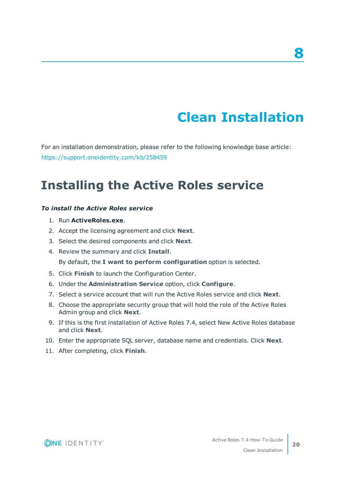# **Clean Installation**

**8**

<span id="page-23-0"></span>For an installation demonstration, please refer to the following knowledge base article: <https://support.oneidentity.com/kb/258459>

## <span id="page-23-1"></span>**Installing the Active Roles service**

### *To install the Active Roles service*

- 1. Run **ActiveRoles.exe**.
- 2. Accept the licensing agreement and click **Next**.
- 3. Select the desired components and click **Next**.
- 4. Review the summary and click **Install**.

By default, the **I want to perform configuration** option is selected.

- 5. Click **Finish** to launch the Configuration Center.
- 6. Under the **Administration Service** option, click **Configure**.
- 7. Select a service account that will run the Active Roles service and click **Next**.
- 8. Choose the appropriate security group that will hold the role of the Active Roles Admin group and click **Next**.
- 9. If this is the first installation of Active Roles 7.4, select New Active Roles database and click **Next**.
- 10. Enter the appropriate SQL server, database name and credentials. Click **Next**.
- 11. After completing, click **Finish**.

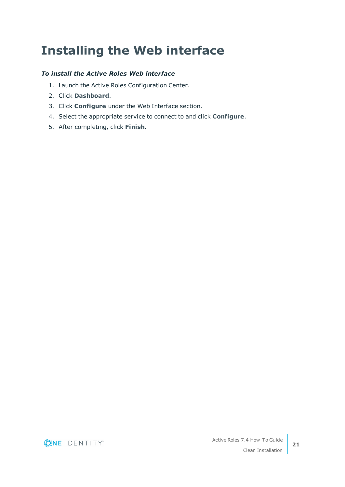# <span id="page-24-0"></span>**Installing the Web interface**

## *To install the Active Roles Web interface*

- 1. Launch the Active Roles Configuration Center.
- 2. Click **Dashboard**.
- 3. Click **Configure** under the Web Interface section.
- 4. Select the appropriate service to connect to and click **Configure**.
- 5. After completing, click **Finish**.

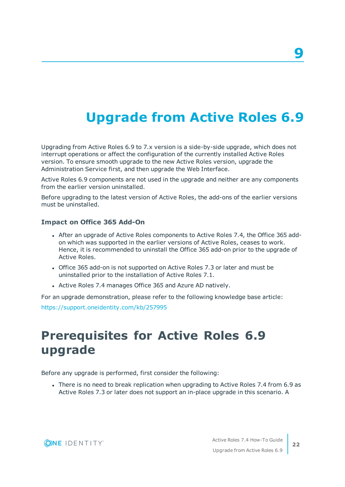# <span id="page-25-0"></span>**Upgrade from Active Roles 6.9**

Upgrading from Active Roles 6.9 to 7.x version is a side-by-side upgrade, which does not interrupt operations or affect the configuration of the currently installed Active Roles version. To ensure smooth upgrade to the new Active Roles version, upgrade the Administration Service first, and then upgrade the Web Interface.

Active Roles 6.9 components are not used in the upgrade and neither are any components from the earlier version uninstalled.

Before upgrading to the latest version of Active Roles, the add-ons of the earlier versions must be uninstalled.

## **Impact on Office 365 Add-On**

- After an upgrade of Active Roles components to Active Roles 7.4, the Office 365 addon which was supported in the earlier versions of Active Roles, ceases to work. Hence, it is recommended to uninstall the Office 365 add-on prior to the upgrade of Active Roles.
- Office 365 add-on is not supported on Active Roles 7.3 or later and must be uninstalled prior to the installation of Active Roles 7.1.
- Active Roles 7.4 manages Office 365 and Azure AD natively.

For an upgrade demonstration, please refer to the following knowledge base article: <https://support.oneidentity.com/kb/257995>

## <span id="page-25-1"></span>**Prerequisites for Active Roles 6.9 upgrade**

Before any upgrade is performed, first consider the following:

• There is no need to break replication when upgrading to Active Roles 7.4 from 6.9 as Active Roles 7.3 or later does not support an in-place upgrade in this scenario. A



**22**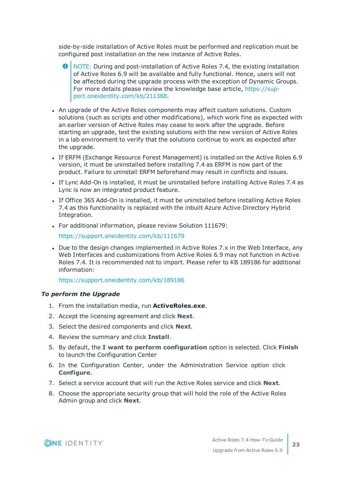side-by-side installation of Active Roles must be performed and replication must be configured post installation on the new instance of Active Roles.

- **O** NOTE: During and post-installation of Active Roles 7.4, the existing installation of Active Roles 6.9 will be available and fully functional. Hence, users will not be affected during the upgrade process with the exception of Dynamic Groups. For more details please review the knowledge base article, [https://sup](https://support.oneidentity.com/kb/211388)[port.oneidentity.com/kb/211388](https://support.oneidentity.com/kb/211388).
- An upgrade of the Active Roles components may affect custom solutions. Custom solutions (such as scripts and other modifications), which work fine as expected with an earlier version of Active Roles may cease to work after the upgrade. Before starting an upgrade, test the existing solutions with the new version of Active Roles in a lab environment to verify that the solutions continue to work as expected after the upgrade.
- If ERFM (Exchange Resource Forest Management) is installed on the Active Roles 6.9 version, it must be uninstalled before installing 7.4 as ERFM is now part of the product. Failure to uninstall ERFM beforehand may result in conflicts and issues.
- If Lync Add-On is installed, it must be uninstalled before installing Active Roles 7.4 as Lync is now an integrated product feature.
- If Office 365 Add-On is installed, it must be uninstalled before installing Active Roles 7.4 as this functionality is replaced with the inbuilt Azure Active Directory Hybrid Integration.
- For additional information, please review Solution 111679:

<https://support.oneidentity.com/kb/111679>

• Due to the design changes implemented in Active Roles 7.x in the Web Interface, any Web Interfaces and customizations from Active Roles 6.9 may not function in Active Roles 7.4. It is recommended not to import. Please refer to KB 189186 for additional information:

<https://support.oneidentity.com/kb/189186>

### *To perform the Upgrade*

- 1. From the installation media, run **ActiveRoles.exe**.
- 2. Accept the licensing agreement and click **Next**.
- 3. Select the desired components and click **Next**.
- 4. Review the summary and click **Install**.
- 5. By default, the **I want to perform configuration** option is selected. Click **Finish** to launch the Configuration Center
- 6. In the Configuration Center, under the Administration Service option click **Configure**.
- 7. Select a service account that will run the Active Roles service and click **Next**.
- 8. Choose the appropriate security group that will hold the role of the Active Roles Admin group and click **Next**.

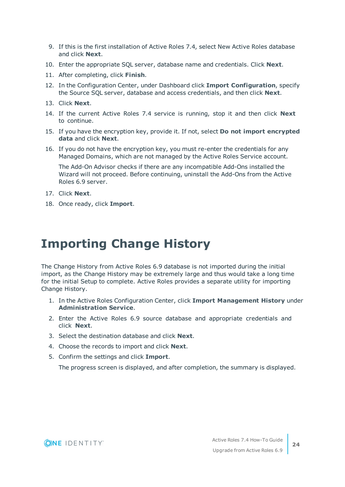- 9. If this is the first installation of Active Roles 7.4, select New Active Roles database and click **Next**.
- 10. Enter the appropriate SQL server, database name and credentials. Click **Next**.
- 11. After completing, click **Finish**.
- 12. In the Configuration Center, under Dashboard click **Import Configuration**, specify the Source SQL server, database and access credentials, and then click **Next**.
- 13. Click **Next**.
- 14. If the current Active Roles 7.4 service is running, stop it and then click **Next** to continue.
- 15. If you have the encryption key, provide it. If not, select **Do not import encrypted data** and click **Next**.
- 16. If you do not have the encryption key, you must re-enter the credentials for any Managed Domains, which are not managed by the Active Roles Service account.

The Add-On Advisor checks if there are any incompatible Add-Ons installed the Wizard will not proceed. Before continuing, uninstall the Add-Ons from the Active Roles 6.9 server.

- 17. Click **Next**.
- 18. Once ready, click **Import**.

## <span id="page-27-0"></span>**Importing Change History**

The Change History from Active Roles 6.9 database is not imported during the initial import, as the Change History may be extremely large and thus would take a long time for the initial Setup to complete. Active Roles provides a separate utility for importing Change History.

- 1. In the Active Roles Configuration Center, click **Import Management History** under **Administration Service**.
- 2. Enter the Active Roles 6.9 source database and appropriate credentials and click **Next**.
- 3. Select the destination database and click **Next**.
- 4. Choose the records to import and click **Next**.
- 5. Confirm the settings and click **Import**.

The progress screen is displayed, and after completion, the summary is displayed.

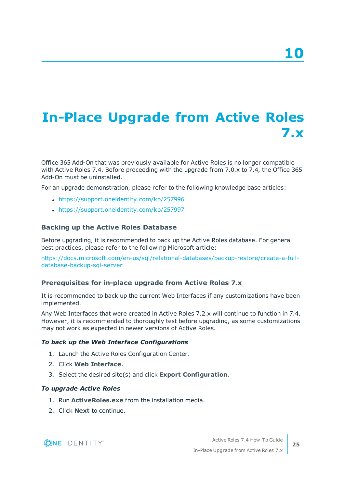# <span id="page-28-0"></span>**In-Place Upgrade from Active Roles 7.x**

Office 365 Add-On that was previously available for Active Roles is no longer compatible with Active Roles 7.4. Before proceeding with the upgrade from 7.0.x to 7.4, the Office 365 Add-On must be uninstalled.

For an upgrade demonstration, please refer to the following knowledge base articles:

- <https://support.oneidentity.com/kb/257996>
- <https://support.oneidentity.com/kb/257997>

### **Backing up the Active Roles Database**

Before upgrading, it is recommended to back up the Active Roles database. For general best practices, please refer to the following Microsoft article:

[https://docs.microsoft.com/en-us/sql/relational-databases/backup-restore/create-a-full](https://docs.microsoft.com/en-us/sql/relational-databases/backup-restore/create-a-full-database-backup-sql-server)[database-backup-sql-server](https://docs.microsoft.com/en-us/sql/relational-databases/backup-restore/create-a-full-database-backup-sql-server)

### **Prerequisites for in-place upgrade from Active Roles 7.x**

It is recommended to back up the current Web Interfaces if any customizations have been implemented.

Any Web Interfaces that were created in Active Roles 7.2.x will continue to function in 7.4. However, it is recommended to thoroughly test before upgrading, as some customizations may not work as expected in newer versions of Active Roles.

#### *To back up the Web Interface Configurations*

- 1. Launch the Active Roles Configuration Center.
- 2. Click **Web Interface**.
- 3. Select the desired site(s) and click **Export Configuration**.

### *To upgrade Active Roles*

- 1. Run **ActiveRoles.exe** from the installation media.
- 2. Click **Next** to continue.

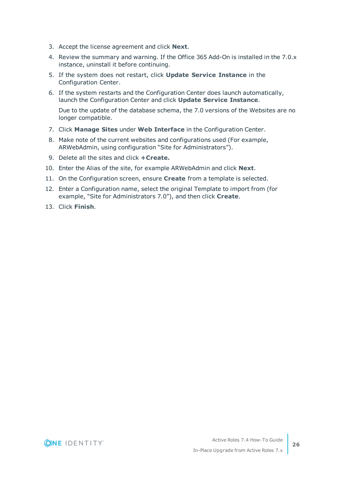- 3. Accept the license agreement and click **Next**.
- 4. Review the summary and warning. If the Office 365 Add-On is installed in the 7.0.x instance, uninstall it before continuing.
- 5. If the system does not restart, click **Update Service Instance** in the Configuration Center.
- 6. If the system restarts and the Configuration Center does launch automatically, launch the Configuration Center and click **Update Service Instance**.

Due to the update of the database schema, the 7.0 versions of the Websites are no longer compatible.

- 7. Click **Manage Sites** under **Web Interface** in the Configuration Center.
- 8. Make note of the current websites and configurations used (For example, ARWebAdmin, using configuration "Site for Administrators").
- 9. Delete all the sites and click **+Create.**
- 10. Enter the Alias of the site, for example ARWebAdmin and click **Next**.
- 11. On the Configuration screen, ensure **Create** from a template is selected.
- 12. Enter a Configuration name, select the original Template to import from (for example, "Site for Administrators 7.0"), and then click **Create**.
- 13. Click **Finish**.

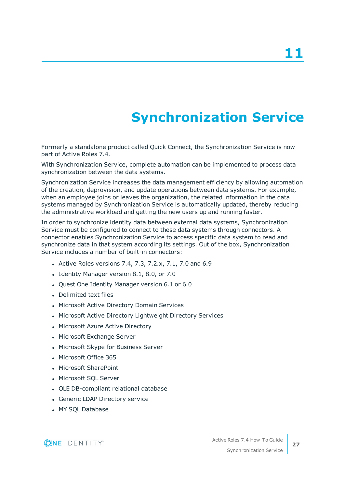# **Synchronization Service**

<span id="page-30-0"></span>Formerly a standalone product called Quick Connect, the Synchronization Service is now part of Active Roles 7.4.

With Synchronization Service, complete automation can be implemented to process data synchronization between the data systems.

Synchronization Service increases the data management efficiency by allowing automation of the creation, deprovision, and update operations between data systems. For example, when an employee joins or leaves the organization, the related information in the data systems managed by Synchronization Service is automatically updated, thereby reducing the administrative workload and getting the new users up and running faster.

In order to synchronize identity data between external data systems, Synchronization Service must be configured to connect to these data systems through connectors. A connector enables Synchronization Service to access specific data system to read and synchronize data in that system according its settings. Out of the box, Synchronization Service includes a number of built-in connectors:

- Active Roles versions 7.4, 7.3, 7.2.x, 7.1, 7.0 and 6.9
- Identity Manager version 8.1, 8.0, or 7.0
- Quest One Identity Manager version 6.1 or 6.0
- Delimited text files
- Microsoft Active Directory Domain Services
- Microsoft Active Directory Lightweight Directory Services
- Microsoft Azure Active Directory
- Microsoft Exchange Server
- Microsoft Skype for Business Server
- Microsoft Office 365
- Microsoft SharePoint
- Microsoft SQL Server
- OLE DB-compliant relational database
- Generic LDAP Directory service
- MY SOL Database

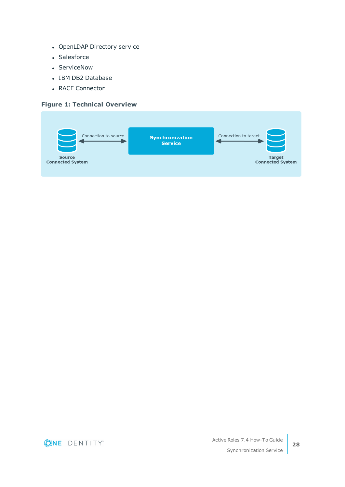- OpenLDAP Directory service
- Salesforce
- ServiceNow
- IBM DB2 Database
- RACF Connector

### **Figure 1: Technical Overview**



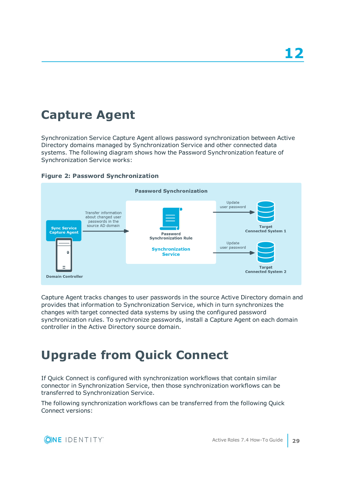# <span id="page-32-0"></span>**Capture Agent**

Synchronization Service Capture Agent allows password synchronization between Active Directory domains managed by Synchronization Service and other connected data systems. The following diagram shows how the Password Synchronization feature of Synchronization Service works:





Capture Agent tracks changes to user passwords in the source Active Directory domain and provides that information to Synchronization Service, which in turn synchronizes the changes with target connected data systems by using the configured password synchronization rules. To synchronize passwords, install a Capture Agent on each domain controller in the Active Directory source domain.

# <span id="page-32-1"></span>**Upgrade from Quick Connect**

If Quick Connect is configured with synchronization workflows that contain similar connector in Synchronization Service, then those synchronization workflows can be transferred to Synchronization Service.

The following synchronization workflows can be transferred from the following Quick Connect versions:

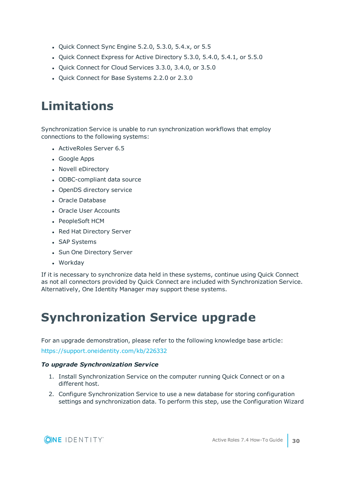- Quick Connect Sync Engine 5.2.0, 5.3.0, 5.4.x, or 5.5
- Quick Connect Express for Active Directory 5.3.0, 5.4.0, 5.4.1, or 5.5.0
- Quick Connect for Cloud Services 3.3.0, 3.4.0, or 3.5.0
- Quick Connect for Base Systems 2.2.0 or 2.3.0

## <span id="page-33-0"></span>**Limitations**

Synchronization Service is unable to run synchronization workflows that employ connections to the following systems:

- ActiveRoles Server 6.5
- Google Apps
- Novell eDirectory
- ODBC-compliant data source
- OpenDS directory service
- Oracle Database
- Oracle User Accounts
- PeopleSoft HCM
- Red Hat Directory Server
- SAP Systems
- Sun One Directory Server
- Workday

If it is necessary to synchronize data held in these systems, continue using Quick Connect as not all connectors provided by Quick Connect are included with Synchronization Service. Alternatively, One Identity Manager may support these systems.

## <span id="page-33-1"></span>**Synchronization Service upgrade**

For an upgrade demonstration, please refer to the following knowledge base article:

<https://support.oneidentity.com/kb/226332>

## *To upgrade Synchronization Service*

- 1. Install Synchronization Service on the computer running Quick Connect or on a different host.
- 2. Configure Synchronization Service to use a new database for storing configuration settings and synchronization data. To perform this step, use the Configuration Wizard

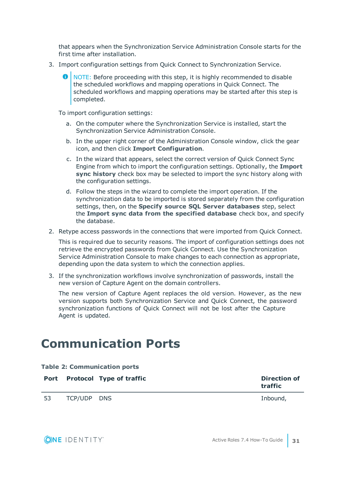that appears when the Synchronization Service Administration Console starts for the first time after installation.

- 3. Import configuration settings from Quick Connect to Synchronization Service.
	- NOTE: Before proceeding with this step, it is highly recommended to disable the scheduled workflows and mapping operations in Quick Connect. The scheduled workflows and mapping operations may be started after this step is completed.

To import configuration settings:

- a. On the computer where the Synchronization Service is installed, start the Synchronization Service Administration Console.
- b. In the upper right corner of the Administration Console window, click the gear icon, and then click **Import Configuration**.
- c. In the wizard that appears, select the correct version of Quick Connect Sync Engine from which to import the configuration settings. Optionally, the **Import sync history** check box may be selected to import the sync history along with the configuration settings.
- d. Follow the steps in the wizard to complete the import operation. If the synchronization data to be imported is stored separately from the configuration settings, then, on the **Specify source SQL Server databases** step, select the **Import sync data from the specified database** check box, and specify the database.
- 2. Retype access passwords in the connections that were imported from Quick Connect.

This is required due to security reasons. The import of configuration settings does not retrieve the encrypted passwords from Quick Connect. Use the Synchronization Service Administration Console to make changes to each connection as appropriate, depending upon the data system to which the connection applies.

3. If the synchronization workflows involve synchronization of passwords, install the new version of Capture Agent on the domain controllers.

The new version of Capture Agent replaces the old version. However, as the new version supports both Synchronization Service and Quick Connect, the password synchronization functions of Quick Connect will not be lost after the Capture Agent is updated.

## <span id="page-34-0"></span>**Communication Ports**

| <b>Table 2: Communication ports</b> |             |                               |                                |
|-------------------------------------|-------------|-------------------------------|--------------------------------|
|                                     |             | Port Protocol Type of traffic | <b>Direction of</b><br>traffic |
| 53                                  | TCP/UDP DNS |                               | Inbound,                       |

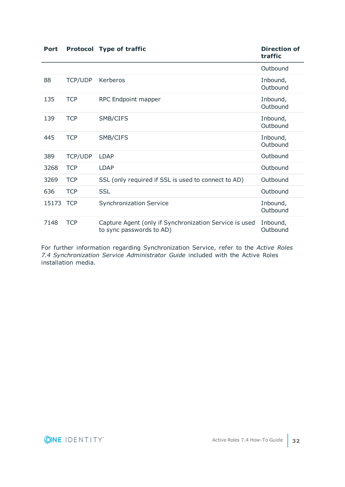| <b>Port</b> |                | <b>Protocol Type of traffic</b>                                                    | <b>Direction of</b><br>traffic |
|-------------|----------------|------------------------------------------------------------------------------------|--------------------------------|
|             |                |                                                                                    | Outbound                       |
| 88          | <b>TCP/UDP</b> | Kerberos                                                                           | Inbound,<br>Outbound           |
| 135         | <b>TCP</b>     | RPC Endpoint mapper                                                                | Inbound,<br>Outbound           |
| 139         | <b>TCP</b>     | SMB/CIFS                                                                           | Inbound,<br>Outbound           |
| 445         | <b>TCP</b>     | SMB/CIFS                                                                           | Inbound,<br>Outbound           |
| 389         | <b>TCP/UDP</b> | <b>LDAP</b>                                                                        | Outbound                       |
| 3268        | <b>TCP</b>     | <b>LDAP</b>                                                                        | Outbound                       |
| 3269        | <b>TCP</b>     | SSL (only required if SSL is used to connect to AD)                                | Outbound                       |
| 636         | <b>TCP</b>     | <b>SSL</b>                                                                         | Outbound                       |
| 15173       | <b>TCP</b>     | <b>Synchronization Service</b>                                                     | Inbound,<br>Outbound           |
| 7148        | <b>TCP</b>     | Capture Agent (only if Synchronization Service is used<br>to sync passwords to AD) | Inbound,<br>Outbound           |

For further information regarding Synchronization Service, refer to the *Active Roles 7.4 Synchronization Service Administrator Guide* included with the Active Roles installation media.

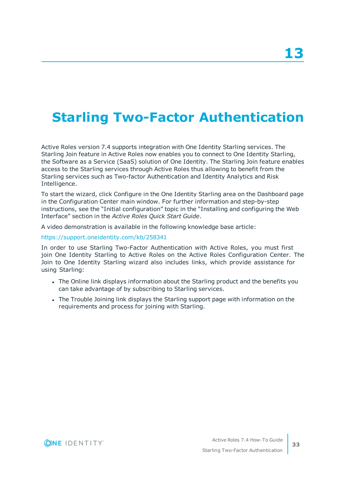# <span id="page-36-0"></span>**Starling Two-Factor Authentication**

Active Roles version 7.4 supports integration with One Identity Starling services. The Starling Join feature in Active Roles now enables you to connect to One Identity Starling, the Software as a Service (SaaS) solution of One Identity. The Starling Join feature enables access to the Starling services through Active Roles thus allowing to benefit from the Starling services such as Two-factor Authentication and Identity Analytics and Risk Intelligence.

To start the wizard, click Configure in the One Identity Starling area on the Dashboard page in the Configuration Center main window. For further information and step-by-step instructions, see the "Initial configuration" topic in the "Installing and configuring the Web Interface" section in the *Active Roles Quick Start Guide*.

A video demonstration is available in the following knowledge base article:

### <https://support.oneidentity.com/kb/258341>

In order to use Starling Two-Factor Authentication with Active Roles, you must first join One Identity Starling to Active Roles on the Active Roles Configuration Center. The Join to One Identity Starling wizard also includes links, which provide assistance for using Starling:

- The Online link displays information about the Starling product and the benefits you can take advantage of by subscribing to Starling services.
- The Trouble Joining link displays the Starling support page with information on the requirements and process for joining with Starling.

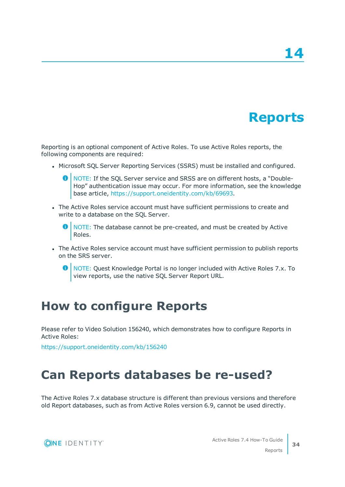# **Reports**

<span id="page-37-0"></span>Reporting is an optional component of Active Roles. To use Active Roles reports, the following components are required:

- Microsoft SQL Server Reporting Services (SSRS) must be installed and configured.
	- 6 NOTE: If the SQL Server service and SRSS are on different hosts, a "Double-Hop" authentication issue may occur. For more information, see the knowledge base article, <https://support.oneidentity.com/kb/69693>.
- The Active Roles service account must have sufficient permissions to create and write to a database on the SQL Server.
	- $\bullet$  NOTE: The database cannot be pre-created, and must be created by Active Roles.
- The Active Roles service account must have sufficient permission to publish reports on the SRS server.
	- **O** NOTE: Quest Knowledge Portal is no longer included with Active Roles 7.x. To view reports, use the native SQL Server Report URL.

## <span id="page-37-1"></span>**How to configure Reports**

Please refer to Video Solution 156240, which demonstrates how to configure Reports in Active Roles:

<span id="page-37-2"></span><https://support.oneidentity.com/kb/156240>

## **Can Reports databases be re-used?**

The Active Roles 7.x database structure is different than previous versions and therefore old Report databases, such as from Active Roles version 6.9, cannot be used directly.

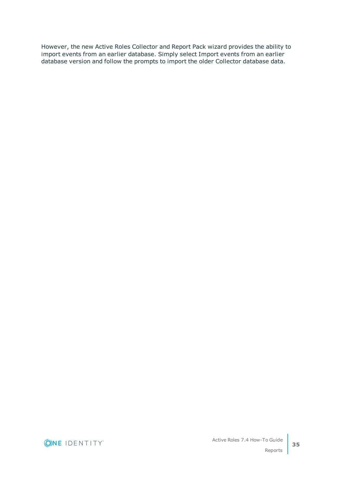However, the new Active Roles Collector and Report Pack wizard provides the ability to import events from an earlier database. Simply select Import events from an earlier database version and follow the prompts to import the older Collector database data.

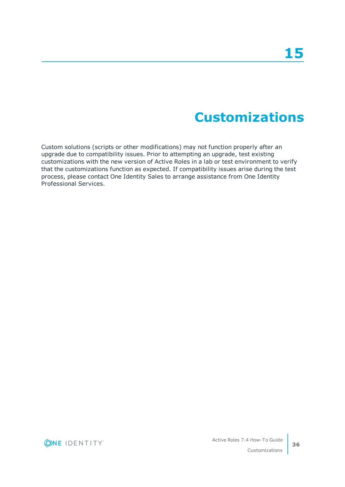# **Customizations**

<span id="page-39-0"></span>Custom solutions (scripts or other modifications) may not function properly after an upgrade due to compatibility issues. Prior to attempting an upgrade, test existing customizations with the new version of Active Roles in a lab or test environment to verify that the customizations function as expected. If compatibility issues arise during the test process, please contact One Identity Sales to arrange assistance from One Identity Professional Services.

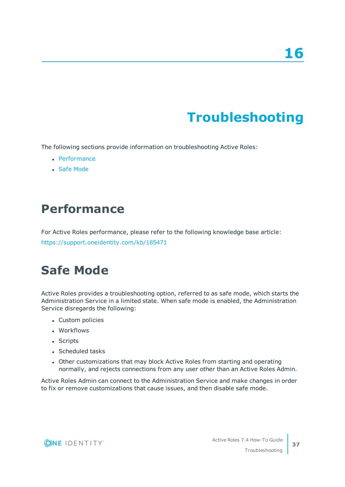# **Troubleshooting**

<span id="page-40-0"></span>The following sections provide information on troubleshooting Active Roles:

- [Performance](#page-40-1)
- **.** Safe [Mode](#page-40-2)

## <span id="page-40-1"></span>**Performance**

For Active Roles performance, please refer to the following knowledge base article: <https://support.oneidentity.com/kb/185471>

## <span id="page-40-2"></span>**Safe Mode**

Active Roles provides a troubleshooting option, referred to as safe mode, which starts the Administration Service in a limited state. When safe mode is enabled, the Administration Service disregards the following:

- Custom policies
- Workflows
- Scripts
- Scheduled tasks
- Other customizations that may block Active Roles from starting and operating normally, and rejects connections from any user other than an Active Roles Admin.

Active Roles Admin can connect to the Administration Service and make changes in order to fix or remove customizations that cause issues, and then disable safe mode.

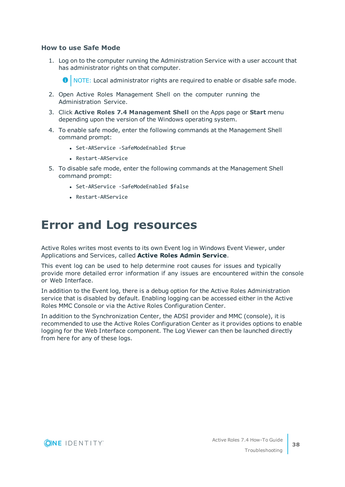### **How to use Safe Mode**

1. Log on to the computer running the Administration Service with a user account that has administrator rights on that computer.

**O** NOTE: Local administrator rights are required to enable or disable safe mode.

- 2. Open Active Roles Management Shell on the computer running the Administration Service.
- 3. Click **Active Roles 7.4 Management Shell** on the Apps page or **Start** menu depending upon the version of the Windows operating system.
- 4. To enable safe mode, enter the following commands at the Management Shell command prompt:
	- Set-ARService -SafeModeEnabled \$true
	- <sup>l</sup> Restart-ARService
- 5. To disable safe mode, enter the following commands at the Management Shell command prompt:
	- Set-ARService -SafeModeEnabled \$false
	- <sup>l</sup> Restart-ARService

## <span id="page-41-0"></span>**Error and Log resources**

Active Roles writes most events to its own Event log in Windows Event Viewer, under Applications and Services, called **Active Roles Admin Service**.

This event log can be used to help determine root causes for issues and typically provide more detailed error information if any issues are encountered within the console or Web Interface.

In addition to the Event log, there is a debug option for the Active Roles Administration service that is disabled by default. Enabling logging can be accessed either in the Active Roles MMC Console or via the Active Roles Configuration Center.

In addition to the Synchronization Center, the ADSI provider and MMC (console), it is recommended to use the Active Roles Configuration Center as it provides options to enable logging for the Web Interface component. The Log Viewer can then be launched directly from here for any of these logs.

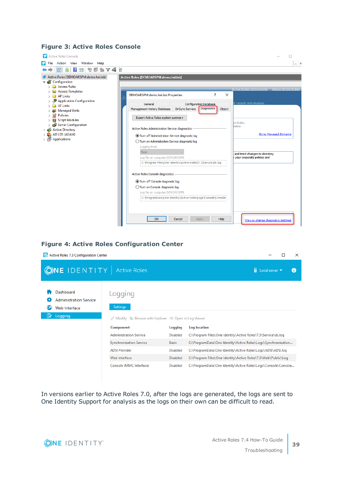## **Figure 3: Active Roles Console**



## **Figure 4: Active Roles Configuration Center**

| Co. Active Roles 7.3 Configuration Center                                   | ×                                                                                               |                            |                                                                               |
|-----------------------------------------------------------------------------|-------------------------------------------------------------------------------------------------|----------------------------|-------------------------------------------------------------------------------|
| <b>ONE IDENTITY</b> Active Roles                                            |                                                                                                 |                            | $\overline{\mathbf{H}}$ Local server                                          |
| Dashboard<br><b>Administration Service</b><br>Web Interface<br>R<br>Logging | Logging<br><b>Settings</b><br>Modify $\Box$ Browse with Explorer $\Box$ Open in Log Viewer<br>₽ |                            |                                                                               |
|                                                                             | <b>Component</b><br><b>Administration Service</b>                                               | Logging<br><b>Disabled</b> | Log location<br>C:\Program Files\One Identity\Active Roles\7.3\Service\ds.log |
|                                                                             | <b>Synchronization Service</b>                                                                  | <b>Basic</b>               | C:\ProgramData\One Identity\Active Roles\Logs\Synchronization                 |
|                                                                             | <b>ADSI Provider</b>                                                                            | <b>Disabled</b>            | C:\ProgramData\One Identity\Active Roles\Logs\ADSI\ADSI.log                   |
|                                                                             | Web Interface                                                                                   | <b>Disabled</b>            | C:\Program Files\One Identity\Active Roles\7.3\Web\Public\Log                 |
|                                                                             | Console (MMC Interface)                                                                         | <b>Disabled</b>            | C:\ProgramData\One Identity\Active Roles\Logs\Console\Console                 |

In versions earlier to Active Roles 7.0, after the logs are generated, the logs are sent to One Identity Support for analysis as the logs on their own can be difficult to read.

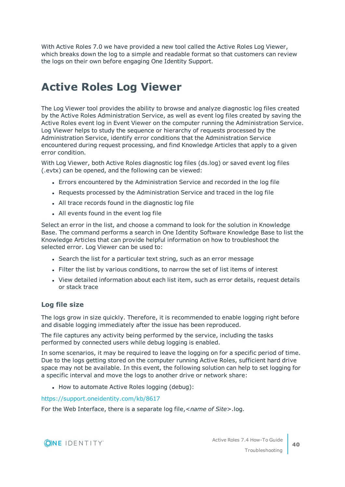With Active Roles 7.0 we have provided a new tool called the Active Roles Log Viewer, which breaks down the log to a simple and readable format so that customers can review the logs on their own before engaging One Identity Support.

## <span id="page-43-0"></span>**Active Roles Log Viewer**

The Log Viewer tool provides the ability to browse and analyze diagnostic log files created by the Active Roles Administration Service, as well as event log files created by saving the Active Roles event log in Event Viewer on the computer running the Administration Service. Log Viewer helps to study the sequence or hierarchy of requests processed by the Administration Service, identify error conditions that the Administration Service encountered during request processing, and find Knowledge Articles that apply to a given error condition.

With Log Viewer, both Active Roles diagnostic log files (ds.log) or saved event log files (.evtx) can be opened, and the following can be viewed:

- Errors encountered by the Administration Service and recorded in the log file
- Requests processed by the Administration Service and traced in the log file
- All trace records found in the diagnostic log file
- All events found in the event log file

Select an error in the list, and choose a command to look for the solution in Knowledge Base. The command performs a search in One Identity Software Knowledge Base to list the Knowledge Articles that can provide helpful information on how to troubleshoot the selected error. Log Viewer can be used to:

- Search the list for a particular text string, such as an error message
- <sup>l</sup> Filter the list by various conditions, to narrow the set of list items of interest
- View detailed information about each list item, such as error details, request details or stack trace

## **Log file size**

The logs grow in size quickly. Therefore, it is recommended to enable logging right before and disable logging immediately after the issue has been reproduced.

The file captures any activity being performed by the service, including the tasks performed by connected users while debug logging is enabled.

In some scenarios, it may be required to leave the logging on for a specific period of time. Due to the logs getting stored on the computer running Active Roles, sufficient hard drive space may not be available. In this event, the following solution can help to set logging for a specific interval and move the logs to another drive or network share:

• How to automate Active Roles logging (debug):

<https://support.oneidentity.com/kb/8617>

For the Web Interface, there is a separate log file,<*name of Site*>.log.

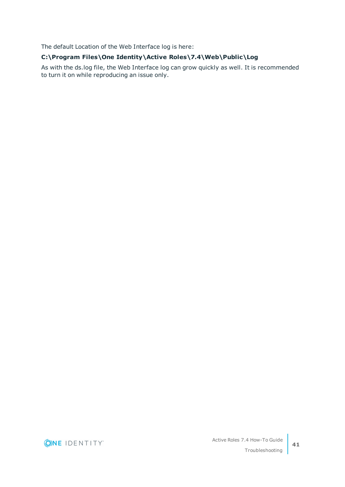The default Location of the Web Interface log is here:

## **C:\Program Files\One Identity\Active Roles\7.4\Web\Public\Log**

As with the ds.log file, the Web Interface log can grow quickly as well. It is recommended to turn it on while reproducing an issue only.

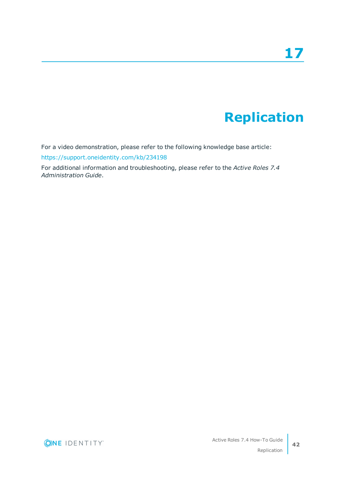# **Replication**

<span id="page-45-0"></span>For a video demonstration, please refer to the following knowledge base article:

<https://support.oneidentity.com/kb/234198>

For additional information and troubleshooting, please refer to the *Active Roles 7.4 Administration Guide*.

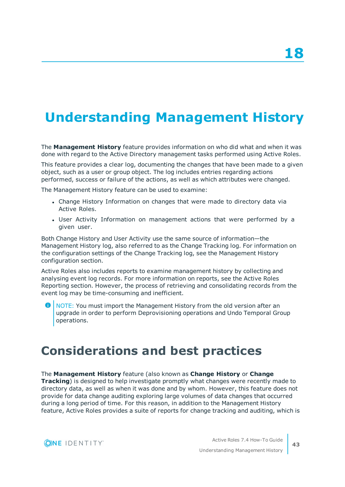# <span id="page-46-0"></span>**Understanding Management History**

The **Management History** feature provides information on who did what and when it was done with regard to the Active Directory management tasks performed using Active Roles.

This feature provides a clear log, documenting the changes that have been made to a given object, such as a user or group object. The log includes entries regarding actions performed, success or failure of the actions, as well as which attributes were changed.

The Management History feature can be used to examine:

- Change History Information on changes that were made to directory data via Active Roles.
- User Activity Information on management actions that were performed by a given user.

Both Change History and User Activity use the same source of information—the Management History log, also referred to as the Change Tracking log. For information on the configuration settings of the Change Tracking log, see the Management History configuration section.

Active Roles also includes reports to examine management history by collecting and analysing event log records. For more information on reports, see the Active Roles Reporting section. However, the process of retrieving and consolidating records from the event log may be time-consuming and inefficient.

**O** NOTE: You must import the Management History from the old version after an upgrade in order to perform Deprovisioning operations and Undo Temporal Group operations.

## <span id="page-46-1"></span>**Considerations and best practices**

### The **Management History** feature (also known as **Change History** or **Change Tracking**) is designed to help investigate promptly what changes were recently made to directory data, as well as when it was done and by whom. However, this feature does not provide for data change auditing exploring large volumes of data changes that occurred during a long period of time. For this reason, in addition to the Management History feature, Active Roles provides a suite of reports for change tracking and auditing, which is

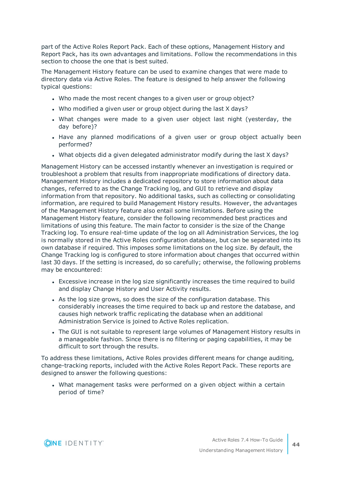part of the Active Roles Report Pack. Each of these options, Management History and Report Pack, has its own advantages and limitations. Follow the recommendations in this section to choose the one that is best suited.

The Management History feature can be used to examine changes that were made to directory data via Active Roles. The feature is designed to help answer the following typical questions:

- . Who made the most recent changes to a given user or group object?
- Who modified a given user or group object during the last X days?
- What changes were made to a given user object last night (yesterday, the day before)?
- Have any planned modifications of a given user or group object actually been performed?
- What objects did a given delegated administrator modify during the last X days?

Management History can be accessed instantly whenever an investigation is required or troubleshoot a problem that results from inappropriate modifications of directory data. Management History includes a dedicated repository to store information about data changes, referred to as the Change Tracking log, and GUI to retrieve and display information from that repository. No additional tasks, such as collecting or consolidating information, are required to build Management History results. However, the advantages of the Management History feature also entail some limitations. Before using the Management History feature, consider the following recommended best practices and limitations of using this feature. The main factor to consider is the size of the Change Tracking log. To ensure real-time update of the log on all Administration Services, the log is normally stored in the Active Roles configuration database, but can be separated into its own database if required. This imposes some limitations on the log size. By default, the Change Tracking log is configured to store information about changes that occurred within last 30 days. If the setting is increased, do so carefully; otherwise, the following problems may be encountered:

- Excessive increase in the log size significantly increases the time required to build and display Change History and User Activity results.
- As the log size grows, so does the size of the configuration database. This considerably increases the time required to back up and restore the database, and causes high network traffic replicating the database when an additional Administration Service is joined to Active Roles replication.
- The GUI is not suitable to represent large volumes of Management History results in a manageable fashion. Since there is no filtering or paging capabilities, it may be difficult to sort through the results.

To address these limitations, Active Roles provides different means for change auditing, change-tracking reports, included with the Active Roles Report Pack. These reports are designed to answer the following questions:

• What management tasks were performed on a given object within a certain period of time?

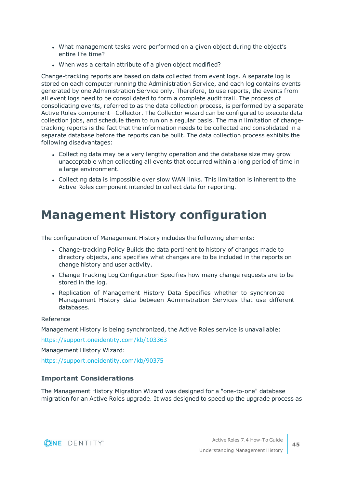- What management tasks were performed on a given object during the object's entire life time?
- When was a certain attribute of a given object modified?

Change-tracking reports are based on data collected from event logs. A separate log is stored on each computer running the Administration Service, and each log contains events generated by one Administration Service only. Therefore, to use reports, the events from all event logs need to be consolidated to form a complete audit trail. The process of consolidating events, referred to as the data collection process, is performed by a separate Active Roles component—Collector. The Collector wizard can be configured to execute data collection jobs, and schedule them to run on a regular basis. The main limitation of changetracking reports is the fact that the information needs to be collected and consolidated in a separate database before the reports can be built. The data collection process exhibits the following disadvantages:

- Collecting data may be a very lengthy operation and the database size may grow unacceptable when collecting all events that occurred within a long period of time in a large environment.
- Collecting data is impossible over slow WAN links. This limitation is inherent to the Active Roles component intended to collect data for reporting.

## <span id="page-48-0"></span>**Management History configuration**

The configuration of Management History includes the following elements:

- Change-tracking Policy Builds the data pertinent to history of changes made to directory objects, and specifies what changes are to be included in the reports on change history and user activity.
- Change Tracking Log Configuration Specifies how many change requests are to be stored in the log.
- Replication of Management History Data Specifies whether to synchronize Management History data between Administration Services that use different databases.

### Reference

Management History is being synchronized, the Active Roles service is unavailable:

<https://support.oneidentity.com/kb/103363>

Management History Wizard:

<https://support.oneidentity.com/kb/90375>

## **Important Considerations**

The Management History Migration Wizard was designed for a "one-to-one" database migration for an Active Roles upgrade. It was designed to speed up the upgrade process as

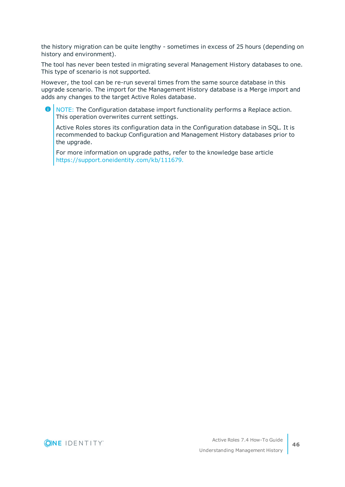the history migration can be quite lengthy - sometimes in excess of 25 hours (depending on history and environment).

The tool has never been tested in migrating several Management History databases to one. This type of scenario is not supported.

However, the tool can be re-run several times from the same source database in this upgrade scenario. The import for the Management History database is a Merge import and adds any changes to the target Active Roles database.

O NOTE: The Configuration database import functionality performs a Replace action. This operation overwrites current settings.

Active Roles stores its configuration data in the Configuration database in SQL. It is recommended to backup Configuration and Management History databases prior to the upgrade.

For more information on upgrade paths, refer to the knowledge base article [https://support.oneidentity.com/kb/111679.](https://support.oneidentity.com/kb/111679)

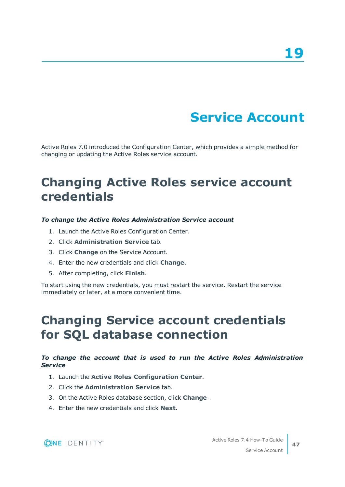# **Service Account**

<span id="page-50-0"></span>Active Roles 7.0 introduced the Configuration Center, which provides a simple method for changing or updating the Active Roles service account.

## <span id="page-50-1"></span>**Changing Active Roles service account credentials**

### *To change the Active Roles Administration Service account*

- 1. Launch the Active Roles Configuration Center.
- 2. Click **Administration Service** tab.
- 3. Click **Change** on the Service Account.
- 4. Enter the new credentials and click **Change**.
- 5. After completing, click **Finish**.

To start using the new credentials, you must restart the service. Restart the service immediately or later, at a more convenient time.

## <span id="page-50-2"></span>**Changing Service account credentials for SQL database connection**

### *To change the account that is used to run the Active Roles Administration Service*

- 1. Launch the **Active Roles Configuration Center**.
- 2. Click the **Administration Service** tab.
- 3. On the Active Roles database section, click **Change** .
- 4. Enter the new credentials and click **Next**.

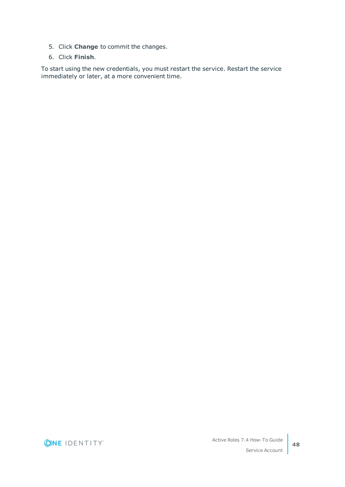- 5. Click **Change** to commit the changes.
- 6. Click **Finish**.

To start using the new credentials, you must restart the service. Restart the service immediately or later, at a more convenient time.